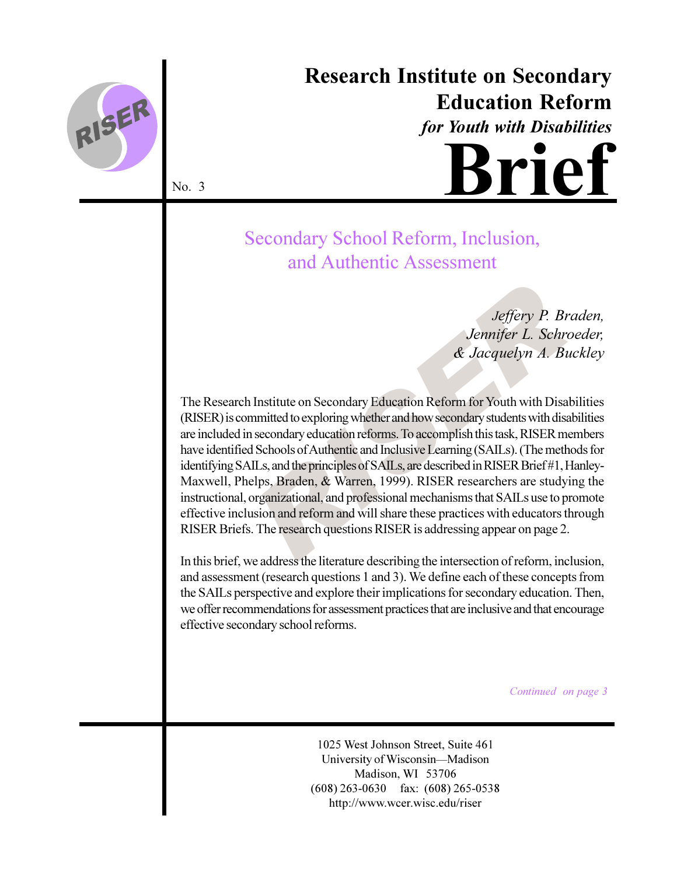

# **Research Institute on Secondary Education Reform**

for Youth with Disabilities



No. 3

# Secondary School Reform, Inclusion, and Authentic Assessment

Jeffery P. Braden, Jennifer L. Schroeder, & Jacquelyn A. Buckley

The Research Institute on Secondary Education Reform for Youth with Disabilities (RISER) is committed to exploring whether and how secondary students with disabilities are included in secondary education reforms. To accomplish this task, RISER members have identified Schools of Authentic and Inclusive Learning (SAILs). (The methods for identifying SAILs, and the principles of SAILs, are described in RISER Brief#1, Hanley-Maxwell, Phelps, Braden, & Warren, 1999). RISER researchers are studying the instructional, organizational, and professional mechanisms that SAILs use to promote effective inclusion and reform and will share these practices with educators through RISER Briefs. The research questions RISER is addressing appear on page 2.

In this brief, we address the literature describing the intersection of reform, inclusion, and assessment (research questions 1 and 3). We define each of these concepts from the SAILs perspective and explore their implications for secondary education. Then, we offer recommendations for assessment practices that are inclusive and that encourage effective secondary school reforms.

Continued on page 3

1025 West Johnson Street, Suite 461 University of Wisconsin-Madison Madison, WI 53706  $(608)$  263-0630 fax:  $(608)$  265-0538 http://www.wcer.wisc.edu/riser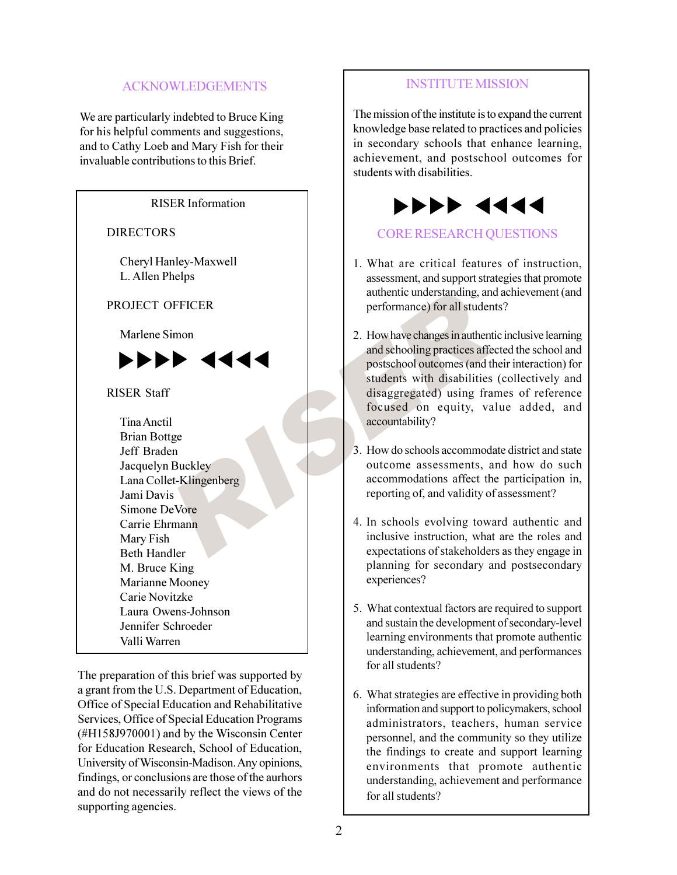# **ACKNOWLEDGEMENTS**

We are particularly indebted to Bruce King for his helpful comments and suggestions, and to Cathy Loeb and Mary Fish for their invaluable contributions to this Brief.

**RISER** Information **DIRECTORS** Cheryl Hanley-Maxwell L. Allen Phelps PROJECT OFFICER Marlene Simon **PPPP 44 RISER Staff** Tina Anctil **Brian Bottge** Jeff Braden Jacquelyn Buckley Lana Collet-Klingenberg Jami Davis Simone DeVore Carrie Ehrmann Mary Fish **Beth Handler** M. Bruce King Marianne Mooney Carie Novitzke Laura Owens-Johnson Jennifer Schroeder Valli Warren The preparation of this brief was supported by

a grant from the U.S. Department of Education, Office of Special Education and Rehabilitative Services, Office of Special Education Programs  $(HH158J970001)$  and by the Wisconsin Center for Education Research, School of Education, University of Wisconsin-Madison. Any opinions, findings, or conclusions are those of the aurhors and do not necessarily reflect the views of the supporting agencies.

# **INSTITUTE MISSION**

The mission of the institute is to expand the current knowledge base related to practices and policies in secondary schools that enhance learning, achievement, and postschool outcomes for students with disabilities.



# **CORE RESEARCH OUESTIONS**

- 1. What are critical features of instruction. assessment, and support strategies that promote authentic understanding, and achievement (and performance) for all students?
- 2. How have changes in authentic inclusive learning and schooling practices affected the school and postschool outcomes (and their interaction) for students with disabilities (collectively and disaggregated) using frames of reference focused on equity, value added, and accountability?
- 3. How do schools accommodate district and state outcome assessments, and how do such accommodations affect the participation in, reporting of, and validity of assessment?
- 4. In schools evolving toward authentic and inclusive instruction, what are the roles and expectations of stakeholders as they engage in planning for secondary and postsecondary experiences?
- 5. What contextual factors are required to support and sustain the development of secondary-level learning environments that promote authentic understanding, achievement, and performances for all students?
- 6. What strategies are effective in providing both information and support to policymakers, school administrators, teachers, human service personnel, and the community so they utilize the findings to create and support learning environments that promote authentic understanding, achievement and performance for all students?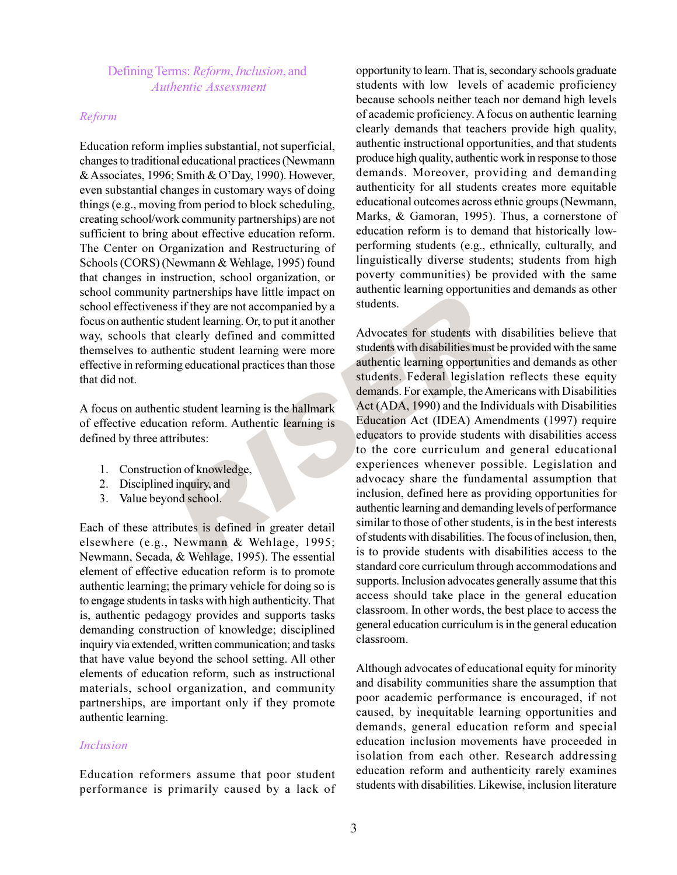Defining Terms: Reform, Inclusion, and **Authentic Assessment** 

#### Reform

Education reform implies substantial, not superficial, changes to traditional educational practices (Newmann & Associates, 1996; Smith & O'Day, 1990). However, even substantial changes in customary ways of doing things (e.g., moving from period to block scheduling, creating school/work community partnerships) are not sufficient to bring about effective education reform. The Center on Organization and Restructuring of Schools (CORS) (Newmann & Wehlage, 1995) found that changes in instruction, school organization, or school community partnerships have little impact on school effectiveness if they are not accompanied by a focus on authentic student learning. Or, to put it another way, schools that clearly defined and committed themselves to authentic student learning were more effective in reforming educational practices than those that did not.

A focus on authentic student learning is the hallmark of effective education reform. Authentic learning is defined by three attributes:

- 1. Construction of knowledge,
- 2. Disciplined inquiry, and
- 3. Value beyond school.

Each of these attributes is defined in greater detail elsewhere (e.g., Newmann & Wehlage, 1995; Newmann, Secada, & Wehlage, 1995). The essential element of effective education reform is to promote authentic learning; the primary vehicle for doing so is to engage students in tasks with high authenticity. That is, authentic pedagogy provides and supports tasks demanding construction of knowledge; disciplined inquiry via extended, written communication; and tasks that have value beyond the school setting. All other elements of education reform, such as instructional materials, school organization, and community partnerships, are important only if they promote authentic learning.

#### **Inclusion**

Education reformers assume that poor student performance is primarily caused by a lack of

opportunity to learn. That is, secondary schools graduate students with low levels of academic proficiency because schools neither teach nor demand high levels of academic proficiency. A focus on authentic learning clearly demands that teachers provide high quality, authentic instructional opportunities, and that students produce high quality, authentic work in response to those demands. Moreover, providing and demanding authenticity for all students creates more equitable educational outcomes across ethnic groups (Newmann, Marks, & Gamoran, 1995). Thus, a cornerstone of education reform is to demand that historically lowperforming students (e.g., ethnically, culturally, and linguistically diverse students; students from high poverty communities) be provided with the same authentic learning opportunities and demands as other students.

Advocates for students with disabilities believe that students with disabilities must be provided with the same authentic learning opportunities and demands as other students. Federal legislation reflects these equity demands. For example, the Americans with Disabilities Act (ADA, 1990) and the Individuals with Disabilities Education Act (IDEA) Amendments (1997) require educators to provide students with disabilities access to the core curriculum and general educational experiences whenever possible. Legislation and advocacy share the fundamental assumption that inclusion, defined here as providing opportunities for authentic learning and demanding levels of performance similar to those of other students, is in the best interests of students with disabilities. The focus of inclusion, then, is to provide students with disabilities access to the standard core curriculum through accommodations and supports. Inclusion advocates generally assume that this access should take place in the general education classroom. In other words, the best place to access the general education curriculum is in the general education classroom.

Although advocates of educational equity for minority and disability communities share the assumption that poor academic performance is encouraged, if not caused, by inequitable learning opportunities and demands, general education reform and special education inclusion movements have proceeded in isolation from each other. Research addressing education reform and authenticity rarely examines students with disabilities. Likewise, inclusion literature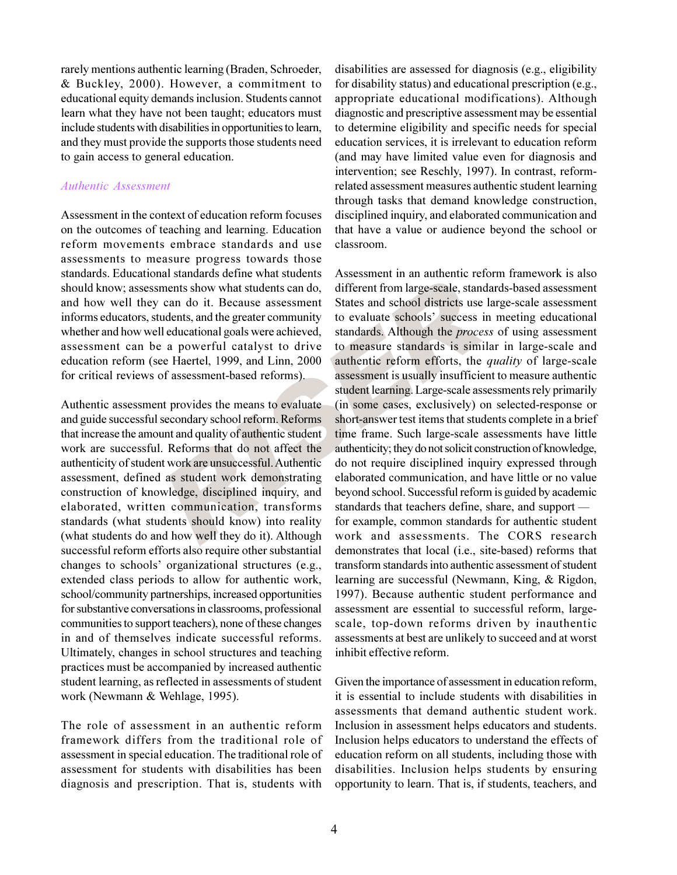rarely mentions authentic learning (Braden, Schroeder, & Buckley, 2000). However, a commitment to educational equity demands inclusion. Students cannot learn what they have not been taught; educators must include students with disabilities in opportunities to learn, and they must provide the supports those students need to gain access to general education.

#### **Authentic Assessment**

Assessment in the context of education reform focuses on the outcomes of teaching and learning. Education reform movements embrace standards and use assessments to measure progress towards those standards. Educational standards define what students should know: assessments show what students can do. and how well they can do it. Because assessment informs educators, students, and the greater community whether and how well educational goals were achieved, assessment can be a powerful catalyst to drive education reform (see Haertel, 1999, and Linn, 2000 for critical reviews of assessment-based reforms).

Authentic assessment provides the means to evaluate and guide successful secondary school reform. Reforms that increase the amount and quality of authentic student work are successful. Reforms that do not affect the authenticity of student work are unsuccessful. Authentic assessment, defined as student work demonstrating construction of knowledge, disciplined inquiry, and elaborated, written communication, transforms standards (what students should know) into reality (what students do and how well they do it). Although successful reform efforts also require other substantial changes to schools' organizational structures (e.g., extended class periods to allow for authentic work, school/community partnerships, increased opportunities for substantive conversations in classrooms, professional communities to support teachers), none of these changes in and of themselves indicate successful reforms. Ultimately, changes in school structures and teaching practices must be accompanied by increased authentic student learning, as reflected in assessments of student work (Newmann & Wehlage, 1995).

The role of assessment in an authentic reform framework differs from the traditional role of assessment in special education. The traditional role of assessment for students with disabilities has been diagnosis and prescription. That is, students with

disabilities are assessed for diagnosis (e.g., eligibility for disability status) and educational prescription (e.g., appropriate educational modifications). Although diagnostic and prescriptive assessment may be essential to determine eligibility and specific needs for special education services, it is irrelevant to education reform (and may have limited value even for diagnosis and intervention; see Reschly, 1997). In contrast, reformrelated assessment measures authentic student learning through tasks that demand knowledge construction, disciplined inquiry, and elaborated communication and that have a value or audience beyond the school or classroom.

Assessment in an authentic reform framework is also different from large-scale, standards-based assessment States and school districts use large-scale assessment to evaluate schools' success in meeting educational standards. Although the *process* of using assessment to measure standards is similar in large-scale and authentic reform efforts, the *quality* of large-scale assessment is usually insufficient to measure authentic student learning. Large-scale assessments rely primarily (in some cases, exclusively) on selected-response or short-answer test items that students complete in a brief time frame. Such large-scale assessments have little authenticity; they do not solicit construction of knowledge, do not require disciplined inquiry expressed through elaborated communication, and have little or no value beyond school. Successful reform is guided by academic standards that teachers define, share, and support for example, common standards for authentic student work and assessments. The CORS research demonstrates that local (i.e., site-based) reforms that transform standards into authentic assessment of student learning are successful (Newmann, King, & Rigdon, 1997). Because authentic student performance and assessment are essential to successful reform, largescale, top-down reforms driven by inauthentic assessments at best are unlikely to succeed and at worst inhibit effective reform.

Given the importance of assessment in education reform, it is essential to include students with disabilities in assessments that demand authentic student work. Inclusion in assessment helps educators and students. Inclusion helps educators to understand the effects of education reform on all students, including those with disabilities. Inclusion helps students by ensuring opportunity to learn. That is, if students, teachers, and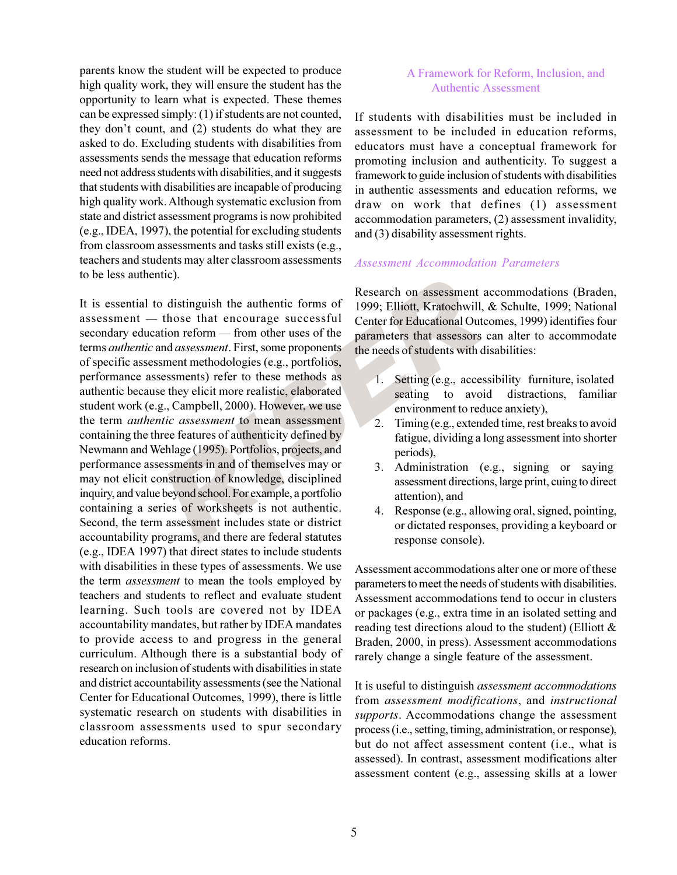parents know the student will be expected to produce high quality work, they will ensure the student has the opportunity to learn what is expected. These themes can be expressed simply: (1) if students are not counted, they don't count, and (2) students do what they are asked to do. Excluding students with disabilities from assessments sends the message that education reforms need not address students with disabilities, and it suggests that students with disabilities are incapable of producing high quality work. Although systematic exclusion from state and district assessment programs is now prohibited (e.g., IDEA, 1997), the potential for excluding students from classroom assessments and tasks still exists (e.g., teachers and students may alter classroom assessments to be less authentic).

It is essential to distinguish the authentic forms of assessment - those that encourage successful secondary education reform — from other uses of the terms *authentic* and *assessment*. First, some proponents of specific assessment methodologies (e.g., portfolios, performance assessments) refer to these methods as authentic because they elicit more realistic, elaborated student work (e.g., Campbell, 2000). However, we use the term *authentic assessment* to mean assessment containing the three features of authenticity defined by Newmann and Wehlage (1995). Portfolios, projects, and performance assessments in and of themselves may or may not elicit construction of knowledge, disciplined inquiry, and value beyond school. For example, a portfolio containing a series of worksheets is not authentic. Second, the term assessment includes state or district accountability programs, and there are federal statutes (e.g., IDEA 1997) that direct states to include students with disabilities in these types of assessments. We use the term *assessment* to mean the tools employed by teachers and students to reflect and evaluate student learning. Such tools are covered not by IDEA accountability mandates, but rather by IDEA mandates to provide access to and progress in the general curriculum. Although there is a substantial body of research on inclusion of students with disabilities in state and district accountability assessments (see the National Center for Educational Outcomes, 1999), there is little systematic research on students with disabilities in classroom assessments used to spur secondary education reforms.

#### A Framework for Reform, Inclusion, and **Authentic Assessment**

If students with disabilities must be included in assessment to be included in education reforms, educators must have a conceptual framework for promoting inclusion and authenticity. To suggest a framework to guide inclusion of students with disabilities in authentic assessments and education reforms, we draw on work that defines (1) assessment accommodation parameters, (2) assessment invalidity, and  $(3)$  disability assessment rights.

#### **Assessment Accommodation Parameters**

Research on assessment accommodations (Braden, 1999; Elliott, Kratochwill, & Schulte, 1999; National Center for Educational Outcomes, 1999) identifies four parameters that assessors can alter to accommodate the needs of students with disabilities:

- 1. Setting (e.g., accessibility furniture, isolated seating to avoid distractions, familiar environment to reduce anxiety),
- Timing (e.g., extended time, rest breaks to avoid 2. fatigue, dividing a long assessment into shorter periods),
- 3. Administration (e.g., signing or saying assessment directions, large print, cuing to direct attention), and
- Response (e.g., allowing oral, signed, pointing, 4. or dictated responses, providing a keyboard or response console).

Assessment accommodations alter one or more of these parameters to meet the needs of students with disabilities. Assessment accommodations tend to occur in clusters or packages (e.g., extra time in an isolated setting and reading test directions aloud to the student) (Elliott  $\&$ Braden, 2000, in press). Assessment accommodations rarely change a single feature of the assessment.

It is useful to distinguish *assessment accommodations* from assessment modifications, and instructional supports. Accommodations change the assessment process (i.e., setting, timing, administration, or response), but do not affect assessment content (*i.e.*, what is assessed). In contrast, assessment modifications alter assessment content (e.g., assessing skills at a lower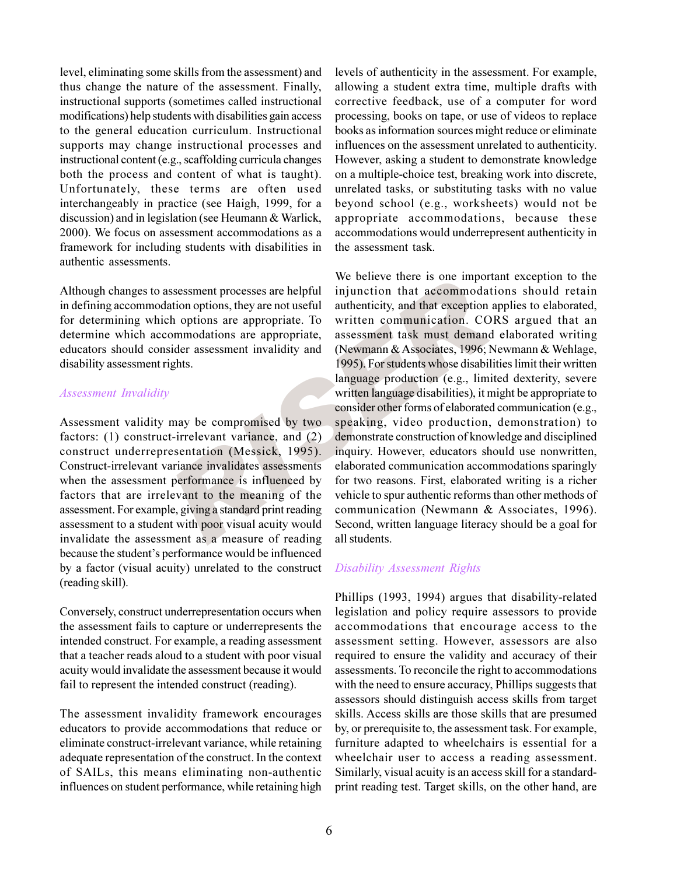level, eliminating some skills from the assessment) and thus change the nature of the assessment. Finally, instructional supports (sometimes called instructional modifications) help students with disabilities gain access to the general education curriculum. Instructional supports may change instructional processes and instructional content (e.g., scaffolding curricula changes both the process and content of what is taught). Unfortunately, these terms are often used interchangeably in practice (see Haigh, 1999, for a discussion) and in legislation (see Heumann & Warlick, 2000). We focus on assessment accommodations as a framework for including students with disabilities in authentic assessments.

Although changes to assessment processes are helpful in defining accommodation options, they are not useful for determining which options are appropriate. To determine which accommodations are appropriate, educators should consider assessment invalidity and disability assessment rights.

#### **Assessment Invalidity**

Assessment validity may be compromised by two factors: (1) construct-irrelevant variance, and (2) construct underrepresentation (Messick, 1995). Construct-irrelevant variance invalidates assessments when the assessment performance is influenced by factors that are irrelevant to the meaning of the assessment. For example, giving a standard print reading assessment to a student with poor visual acuity would invalidate the assessment as a measure of reading because the student's performance would be influenced by a factor (visual acuity) unrelated to the construct (reading skill).

Conversely, construct underrepresentation occurs when the assessment fails to capture or underrepresents the intended construct. For example, a reading assessment that a teacher reads aloud to a student with poor visual acuity would invalidate the assessment because it would fail to represent the intended construct (reading).

The assessment invalidity framework encourages educators to provide accommodations that reduce or eliminate construct-irrelevant variance, while retaining adequate representation of the construct. In the context of SAILs, this means eliminating non-authentic influences on student performance, while retaining high

levels of authenticity in the assessment. For example, allowing a student extra time, multiple drafts with corrective feedback, use of a computer for word processing, books on tape, or use of videos to replace books as information sources might reduce or eliminate influences on the assessment unrelated to authenticity. However, asking a student to demonstrate knowledge on a multiple-choice test, breaking work into discrete, unrelated tasks, or substituting tasks with no value beyond school (e.g., worksheets) would not be appropriate accommodations, because these accommodations would underrepresent authenticity in the assessment task.

We believe there is one important exception to the injunction that accommodations should retain authenticity, and that exception applies to elaborated, written communication. CORS argued that an assessment task must demand elaborated writing (Newmann & Associates, 1996; Newmann & Wehlage, 1995). For students whose disabilities limit their written language production (e.g., limited dexterity, severe written language disabilities), it might be appropriate to consider other forms of elaborated communication (e.g., speaking, video production, demonstration) to demonstrate construction of knowledge and disciplined inquiry. However, educators should use nonwritten, elaborated communication accommodations sparingly for two reasons. First, elaborated writing is a richer vehicle to spur authentic reforms than other methods of communication (Newmann & Associates, 1996). Second, written language literacy should be a goal for all students.

#### **Disability Assessment Rights**

Phillips (1993, 1994) argues that disability-related legislation and policy require assessors to provide accommodations that encourage access to the assessment setting. However, assessors are also required to ensure the validity and accuracy of their assessments. To reconcile the right to accommodations with the need to ensure accuracy, Phillips suggests that assessors should distinguish access skills from target skills. Access skills are those skills that are presumed by, or prerequisite to, the assessment task. For example, furniture adapted to wheelchairs is essential for a wheelchair user to access a reading assessment. Similarly, visual acuity is an access skill for a standardprint reading test. Target skills, on the other hand, are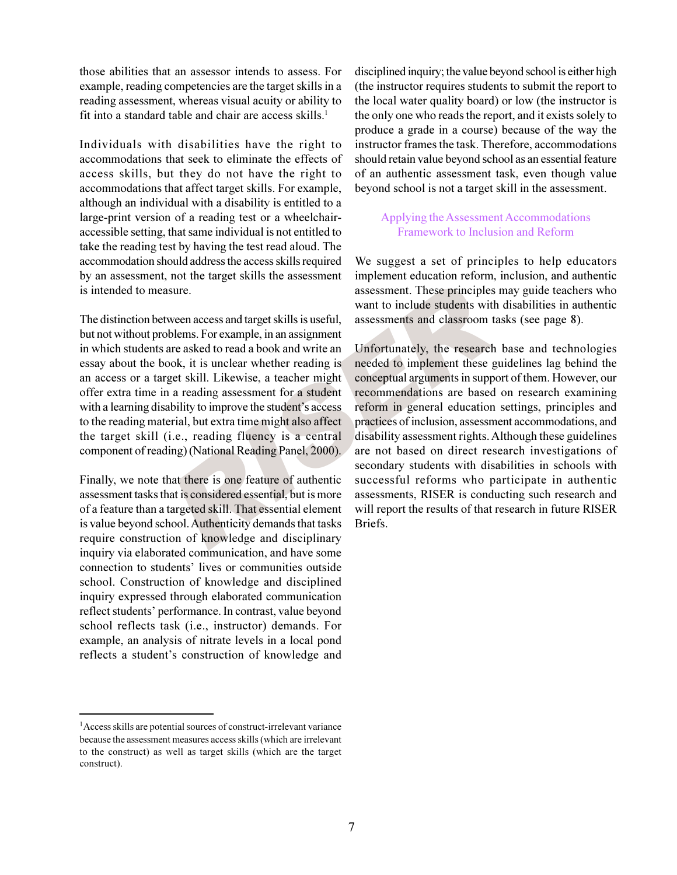those abilities that an assessor intends to assess. For example, reading competencies are the target skills in a reading assessment, whereas visual acuity or ability to fit into a standard table and chair are access skills.<sup>1</sup>

Individuals with disabilities have the right to accommodations that seek to eliminate the effects of access skills, but they do not have the right to accommodations that affect target skills. For example, although an individual with a disability is entitled to a large-print version of a reading test or a wheelchairaccessible setting, that same individual is not entitled to take the reading test by having the test read aloud. The accommodation should address the access skills required by an assessment, not the target skills the assessment is intended to measure.

The distinction between access and target skills is useful, but not without problems. For example, in an assignment in which students are asked to read a book and write an essay about the book, it is unclear whether reading is an access or a target skill. Likewise, a teacher might offer extra time in a reading assessment for a student with a learning disability to improve the student's access to the reading material, but extra time might also affect the target skill (i.e., reading fluency is a central component of reading) (National Reading Panel, 2000).

Finally, we note that there is one feature of authentic assessment tasks that is considered essential, but is more of a feature than a targeted skill. That essential element is value beyond school. Authenticity demands that tasks require construction of knowledge and disciplinary inquiry via elaborated communication, and have some connection to students' lives or communities outside school. Construction of knowledge and disciplined inquiry expressed through elaborated communication reflect students' performance. In contrast, value beyond school reflects task (i.e., instructor) demands. For example, an analysis of nitrate levels in a local pond reflects a student's construction of knowledge and

<sup>1</sup>Access skills are potential sources of construct-irrelevant variance because the assessment measures access skills (which are irrelevant to the construct) as well as target skills (which are the target construct).

disciplined inquiry; the value beyond school is either high (the instructor requires students to submit the report to the local water quality board) or low (the instructor is the only one who reads the report, and it exists solely to produce a grade in a course) because of the way the instructor frames the task. Therefore, accommodations should retain value beyond school as an essential feature of an authentic assessment task, even though value beyond school is not a target skill in the assessment.

## Applying the Assessment Accommodations Framework to Inclusion and Reform

We suggest a set of principles to help educators implement education reform, inclusion, and authentic assessment. These principles may guide teachers who want to include students with disabilities in authentic assessments and classroom tasks (see page 8).

Unfortunately, the research base and technologies needed to implement these guidelines lag behind the conceptual arguments in support of them. However, our recommendations are based on research examining reform in general education settings, principles and practices of inclusion, assessment accommodations, and disability assessment rights. Although these guidelines are not based on direct research investigations of secondary students with disabilities in schools with successful reforms who participate in authentic assessments, RISER is conducting such research and will report the results of that research in future RISER Briefs.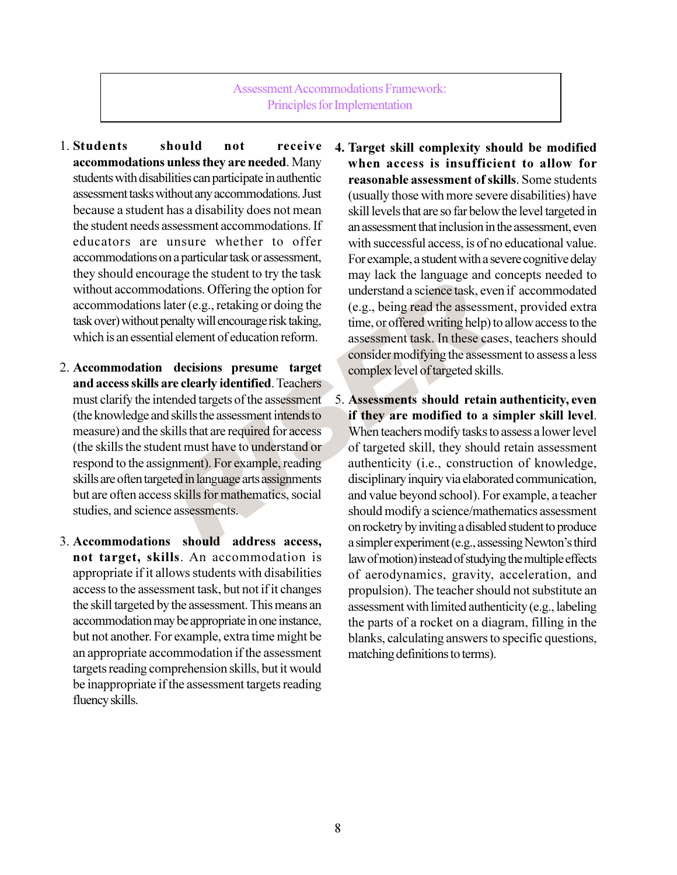**Assessment Accommodations Framework:** Principles for Implementation

- 1. Students should not receive accommodations unless they are needed. Many students with disabilities can participate in authentic assessment tasks without any accommodations. Just because a student has a disability does not mean the student needs assessment accommodations. If educators are unsure whether to offer accommodations on a particular task or assessment, they should encourage the student to try the task without accommodations. Offering the option for accommodations later (e.g., retaking or doing the task over) without penalty will encourage risk taking, which is an essential element of education reform.
- 2. Accommodation decisions presume target and access skills are clearly identified. Teachers must clarify the intended targets of the assessment (the knowledge and skills the assessment intends to measure) and the skills that are required for access (the skills the student must have to understand or respond to the assignment). For example, reading skills are often targeted in language arts assignments but are often access skills for mathematics, social studies, and science assessments.
- 3. Accommodations should address access, not target, skills. An accommodation is appropriate if it allows students with disabilities access to the assessment task, but not if it changes the skill targeted by the assessment. This means an accommodation may be appropriate in one instance, but not another. For example, extra time might be an appropriate accommodation if the assessment targets reading comprehension skills, but it would be inappropriate if the assessment targets reading fluency skills.
- 4. Target skill complexity should be modified when access is insufficient to allow for reasonable assessment of skills. Some students (usually those with more severe disabilities) have skill levels that are so far below the level targeted in an assessment that inclusion in the assessment, even with successful access, is of no educational value. For example, a student with a severe cognitive delay may lack the language and concepts needed to understand a science task, even if accommodated (e.g., being read the assessment, provided extra time, or offered writing help) to allow access to the assessment task. In these cases, teachers should consider modifying the assessment to assess a less complex level of targeted skills.
- 5. Assessments should retain authenticity, even if they are modified to a simpler skill level. When teachers modify tasks to assess a lower level of targeted skill, they should retain assessment authenticity (i.e., construction of knowledge, disciplinary inquiry via elaborated communication, and value beyond school). For example, a teacher should modify a science/mathematics assessment on rocketry by inviting a disabled student to produce a simpler experiment (e.g., assessing Newton's third law of motion) instead of studying the multiple effects of aerodynamics, gravity, acceleration, and propulsion). The teacher should not substitute an assessment with limited authenticity (e.g., labeling the parts of a rocket on a diagram, filling in the blanks, calculating answers to specific questions, matching definitions to terms).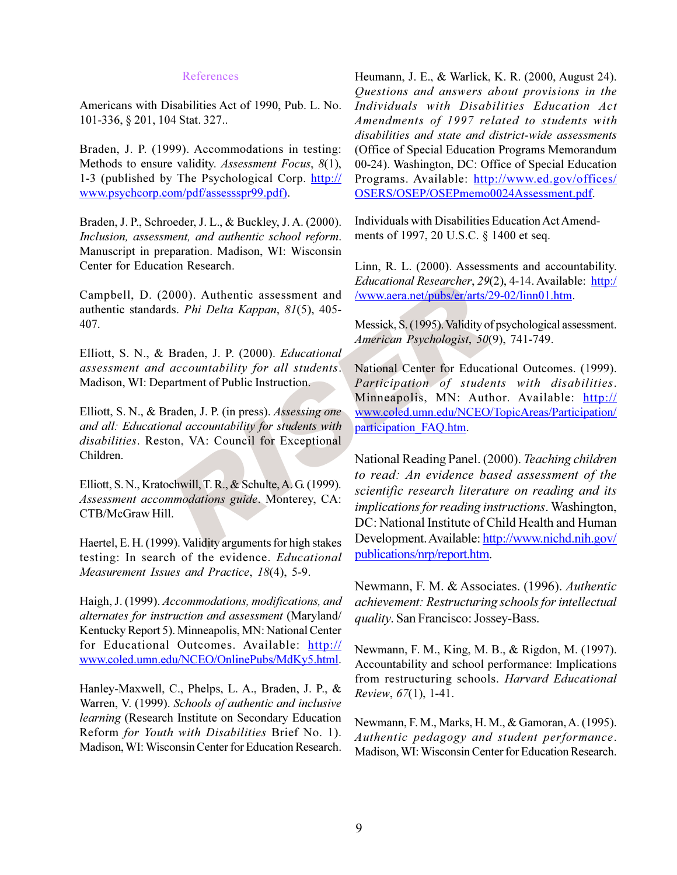#### **References**

Americans with Disabilities Act of 1990, Pub. L. No. 101-336, § 201, 104 Stat. 327..

Braden, J. P. (1999). Accommodations in testing: Methods to ensure validity. Assessment Focus, 8(1), 1-3 (published by The Psychological Corp. http:// www.psychcorp.com/pdf/assessspr99.pdf).

Braden, J. P., Schroeder, J. L., & Buckley, J. A. (2000). Inclusion, assessment, and authentic school reform. Manuscript in preparation. Madison, WI: Wisconsin Center for Education Research.

Campbell, D. (2000). Authentic assessment and authentic standards. Phi Delta Kappan, 81(5), 405-407.

Elliott, S. N., & Braden, J. P. (2000). Educational assessment and accountability for all students. Madison, WI: Department of Public Instruction.

Elliott, S. N., & Braden, J. P. (in press). Assessing one and all: Educational accountability for students with disabilities. Reston, VA: Council for Exceptional Children.

Elliott, S. N., Kratochwill, T. R., & Schulte, A. G. (1999). Assessment accommodations guide. Monterey, CA: CTB/McGraw Hill.

Haertel, E. H. (1999). Validity arguments for high stakes testing: In search of the evidence. Educational Measurement Issues and Practice, 18(4), 5-9.

Haigh, J. (1999). Accommodations, modifications, and *alternates for instruction and assessment* (Maryland/ Kentucky Report 5). Minneapolis, MN: National Center for Educational Outcomes. Available: http:// www.coled.umn.edu/NCEO/OnlinePubs/MdKy5.html.

Hanley-Maxwell, C., Phelps, L. A., Braden, J. P., & Warren, V. (1999). Schools of authentic and inclusive learning (Research Institute on Secondary Education Reform for Youth with Disabilities Brief No. 1). Madison, WI: Wisconsin Center for Education Research. Heumann, J. E., & Warlick, K. R. (2000, August 24). Questions and answers about provisions in the Individuals with Disabilities Education Act Amendments of 1997 related to students with disabilities and state and district-wide assessments (Office of Special Education Programs Memorandum 00-24). Washington, DC: Office of Special Education Programs. Available: http://www.ed.gov/offices/ OSERS/OSEP/OSEPmemo0024Assessment.pdf.

Individuals with Disabilities Education Act Amendments of 1997, 20 U.S.C. § 1400 et seq.

Linn, R. L. (2000). Assessments and accountability. *Educational Researcher, 29(2), 4-14. Available: http:/* /www.aera.net/pubs/er/arts/29-02/linn01.htm.

Messick, S. (1995). Validity of psychological assessment. American Psychologist, 50(9), 741-749.

National Center for Educational Outcomes. (1999). Participation of students with disabilities. Minneapolis, MN: Author. Available: http:// www.coled.umn.edu/NCEO/TopicAreas/Participation/ participation FAO.htm.

National Reading Panel. (2000). Teaching children to read: An evidence based assessment of the scientific research literature on reading and its *implications for reading instructions.* Washington, DC: National Institute of Child Health and Human Development. Available: http://www.nichd.nih.gov/ publications/nrp/report.htm.

Newmann, F. M. & Associates. (1996). Authentic achievement: Restructuring schools for intellectual *quality*. San Francisco: Jossey-Bass.

Newmann, F. M., King, M. B., & Rigdon, M. (1997). Accountability and school performance: Implications from restructuring schools. Harvard Educational Review, 67(1), 1-41.

Newmann, F. M., Marks, H. M., & Gamoran, A. (1995). Authentic pedagogy and student performance. Madison, WI: Wisconsin Center for Education Research.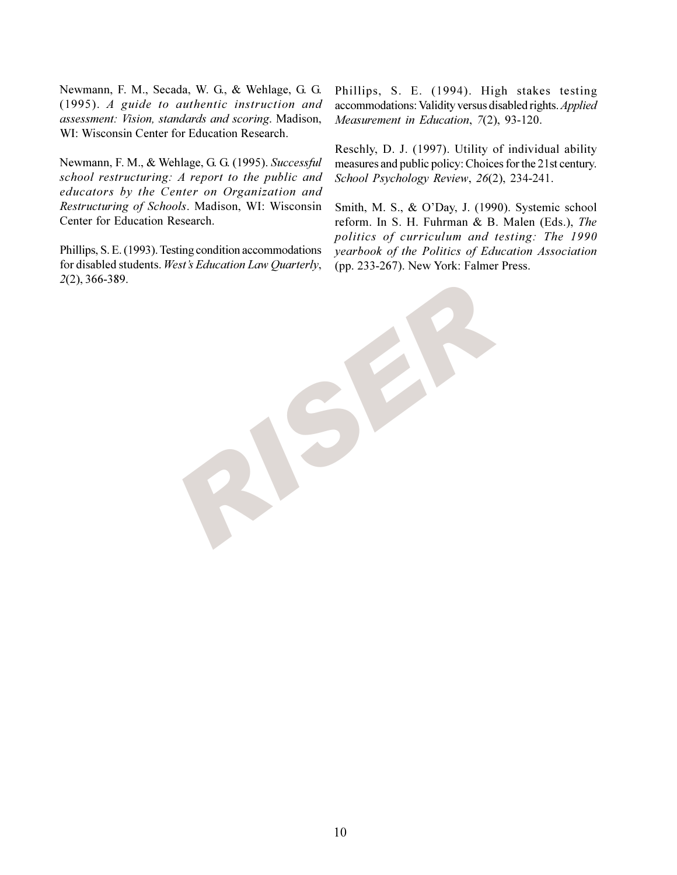Newmann, F. M., Secada, W. G., & Wehlage, G. G.  $(1995)$ . A guide to authentic instruction and assessment: Vision, standards and scoring. Madison, WI: Wisconsin Center for Education Research.

Newmann, F. M., & Wehlage, G. G. (1995). Successful school restructuring: A report to the public and educators by the Center on Organization and Restructuring of Schools. Madison, WI: Wisconsin Center for Education Research.

Phillips, S. E. (1993). Testing condition accommodations for disabled students. West's Education Law Quarterly, 2(2), 366-389.

Phillips, S. E. (1994). High stakes testing accommodations: Validity versus disabled rights. Applied Measurement in Education, 7(2), 93-120.

Reschly, D. J. (1997). Utility of individual ability measures and public policy: Choices for the 21st century. School Psychology Review, 26(2), 234-241.

Smith, M. S., & O'Day, J. (1990). Systemic school reform. In S. H. Fuhrman & B. Malen (Eds.), The politics of curriculum and testing: The 1990 yearbook of the Politics of Education Association (pp. 233-267). New York: Falmer Press.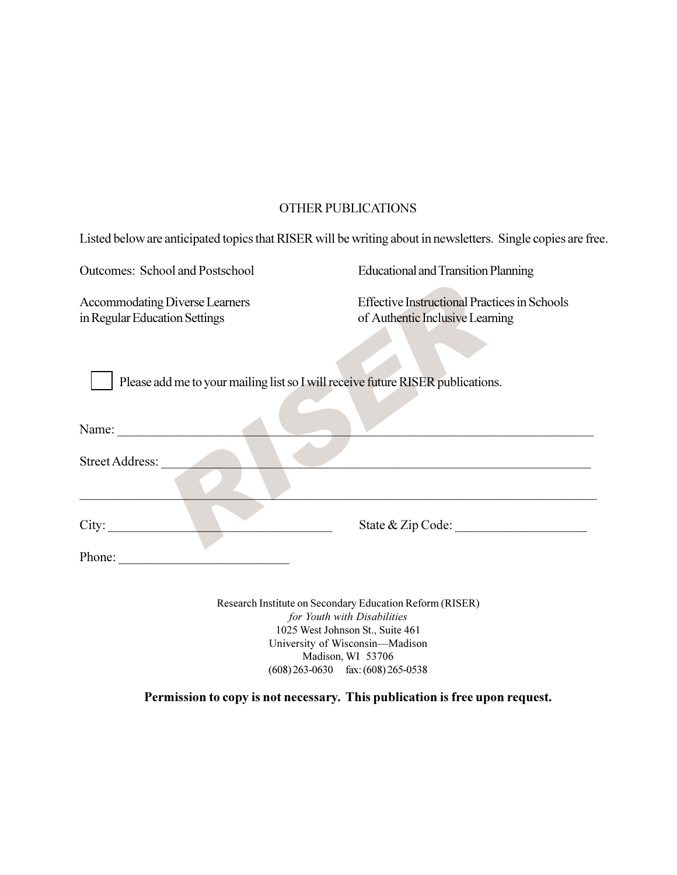# **OTHER PUBLICATIONS**

Listed below are anticipated topics that RISER will be writing about in newsletters. Single copies are free.

Outcomes: School and Postschool

**Accommodating Diverse Learners** in Regular Education Settings

**Educational and Transition Planning** 

**Effective Instructional Practices in Schools** of Authentic Inclusive Learning

Please add me to your mailing list so I will receive future RISER publications.

| Name:                  |                   |  |
|------------------------|-------------------|--|
| <b>Street Address:</b> |                   |  |
|                        |                   |  |
| City:                  | State & Zip Code: |  |
| Phone:                 |                   |  |

Research Institute on Secondary Education Reform (RISER) for Youth with Disabilities 1025 West Johnson St., Suite 461 University of Wisconsin-Madison Madison, WI 53706  $(608)$  263-0630 fax:  $(608)$  265-0538

### Permission to copy is not necessary. This publication is free upon request.